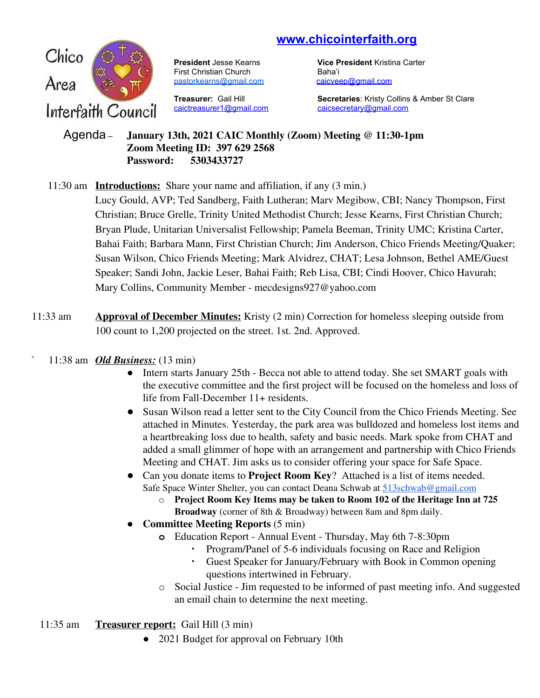# **www.chicointerfaith.org**



First Christian Church Baha'i [pastorkearns@gmail.com](mailto:pastorkearns@gmail.com) [caicveep@gmail.com](mailto:caicveep@gmail.com)

[caictreasurer1@gmail.com](mailto:caictreasurer1@gmail.com) [caicsecretary@gmail.com](mailto:caicsecretary@gmail.com)

**President** Jesse Kearns **Vice President** Kristina Carter

**Treasurer:** Gail Hill **Secretaries**: Kristy Collins & Amber St Clare

#### Agenda – **January 13th, 2021 CAIC Monthly (Zoom) Meeting @ 11:30-1pm Zoom Meeting ID: 397 629 2568 Password: 5303433727**

## 11:30 am **Introductions:** Share your name and affiliation, if any (3 min.)

Lucy Gould, AVP; Ted Sandberg, Faith Lutheran; Marv Megibow, CBI; Nancy Thompson, First Christian; Bruce Grelle, Trinity United Methodist Church; Jesse Kearns, First Christian Church; Bryan Plude, Unitarian Universalist Fellowship; Pamela Beeman, Trinity UMC; Kristina Carter, Bahai Faith; Barbara Mann, First Christian Church; Jim Anderson, Chico Friends Meeting/Quaker; Susan Wilson, Chico Friends Meeting; Mark Alvidrez, CHAT; Lesa Johnson, Bethel AME/Guest Speaker; Sandi John, Jackie Leser, Bahai Faith; Reb Lisa, CBI; Cindi Hoover, Chico Havurah; Mary Collins, Community Member - mecdesigns927@yahoo.com

11:33 am **Approval of December Minutes:** Kristy (2 min) Correction for homeless sleeping outside from 100 count to 1,200 projected on the street. 1st. 2nd. Approved.

## ` 11:38 am *Old Business:* (13 min)

- Intern starts January 25th Becca not able to attend today. She set SMART goals with the executive committee and the first project will be focused on the homeless and loss of life from Fall-December 11+ residents.
- Susan Wilson read a letter sent to the City Council from the Chico Friends Meeting. See attached in Minutes. Yesterday, the park area was bulldozed and homeless lost items and a heartbreaking loss due to health, safety and basic needs. Mark spoke from CHAT and added a small glimmer of hope with an arrangement and partnership with Chico Friends Meeting and CHAT. Jim asks us to consider offering your space for Safe Space.
- Can you donate items to **Project Room Key**? Attached is a list of items needed. Safe Space Winter Shelter, you can contact Deana Schwab at [513schwab@gmail.com](mailto:513schwab@gmail.com)
	- o **Project Room Key Items may be taken to Room 102 of the Heritage Inn at 725 Broadway** (corner of 8th & Broadway) between 8am and 8pm daily.
- **● Committee Meeting Reports** (5 min)
	- **o** Education Report Annual Event Thursday, May 6th 7-8:30pm
		- Program/Panel of 5-6 individuals focusing on Race and Religion<br>• Guest Speaker for January/February with Book in Common open
		- Guest Speaker for January/February with Book in Common opening questions intertwined in February.
	- o Social Justice Jim requested to be informed of past meeting info. And suggested an email chain to determine the next meeting.
- 11:35 am **Treasurer report:** Gail Hill (3 min)
	- 2021 Budget for approval on February 10th